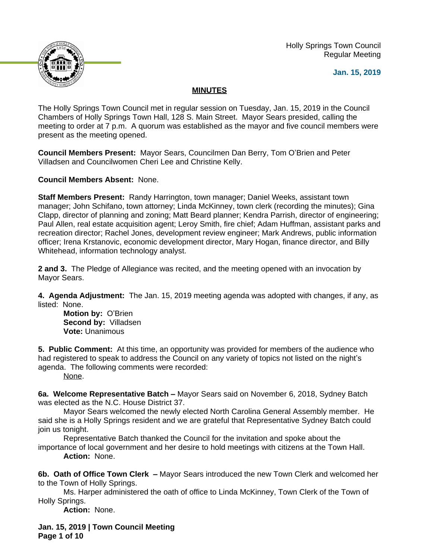

 Holly Springs Town Council Regular Meeting

**Jan. 15, 2019**

# **MINUTES**

The Holly Springs Town Council met in regular session on Tuesday, Jan. 15, 2019 in the Council Chambers of Holly Springs Town Hall, 128 S. Main Street. Mayor Sears presided, calling the meeting to order at 7 p.m. A quorum was established as the mayor and five council members were present as the meeting opened.

**Council Members Present:** Mayor Sears, Councilmen Dan Berry, Tom O'Brien and Peter Villadsen and Councilwomen Cheri Lee and Christine Kelly.

**Council Members Absent:** None.

**Staff Members Present:** Randy Harrington, town manager; Daniel Weeks, assistant town manager; John Schifano, town attorney; Linda McKinney, town clerk (recording the minutes); Gina Clapp, director of planning and zoning; Matt Beard planner; Kendra Parrish, director of engineering; Paul Allen, real estate acquisition agent; Leroy Smith, fire chief; Adam Huffman, assistant parks and recreation director; Rachel Jones, development review engineer; Mark Andrews, public information officer; Irena Krstanovic, economic development director, Mary Hogan, finance director, and Billy Whitehead, information technology analyst.

**2 and 3.** The Pledge of Allegiance was recited, and the meeting opened with an invocation by Mayor Sears.

**4. Agenda Adjustment:** The Jan. 15, 2019 meeting agenda was adopted with changes, if any, as listed: None.

**Motion by:** O'Brien **Second by:** Villadsen **Vote:** Unanimous

**5. Public Comment:** At this time, an opportunity was provided for members of the audience who had registered to speak to address the Council on any variety of topics not listed on the night's agenda. The following comments were recorded:

None.

**6a. Welcome Representative Batch –** Mayor Sears said on November 6, 2018, Sydney Batch was elected as the N.C. House District 37.

Mayor Sears welcomed the newly elected North Carolina General Assembly member. He said she is a Holly Springs resident and we are grateful that Representative Sydney Batch could join us tonight.

Representative Batch thanked the Council for the invitation and spoke about the importance of local government and her desire to hold meetings with citizens at the Town Hall. **Action:** None.

**6b. Oath of Office Town Clerk –** Mayor Sears introduced the new Town Clerk and welcomed her to the Town of Holly Springs.

Ms. Harper administered the oath of office to Linda McKinney, Town Clerk of the Town of Holly Springs.

**Action:** None.

**Jan. 15, 2019 | Town Council Meeting Page 1 of 10**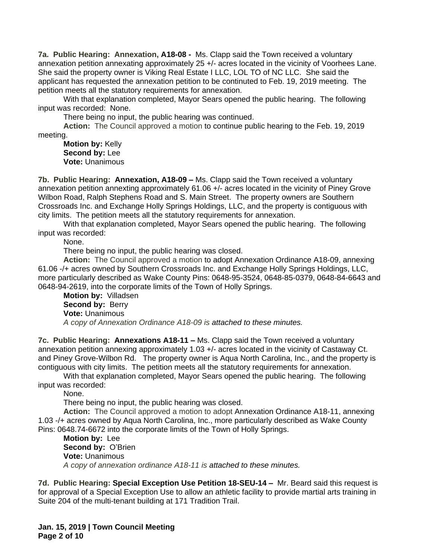**7a. Public Hearing: Annexation, A18-08 -** Ms. Clapp said the Town received a voluntary annexation petition annexating approximately 25 +/- acres located in the vicinity of Voorhees Lane. She said the property owner is Viking Real Estate I LLC, LOL TO of NC LLC. She said the applicant has requested the annexation petition to be continuted to Feb. 19, 2019 meeting. The petition meets all the statutory requirements for annexation.

With that explanation completed, Mayor Sears opened the public hearing. The following input was recorded: None.

There being no input, the public hearing was continued.

**Action:** The Council approved a motion to continue public hearing to the Feb. 19, 2019 meeting.

**Motion by:** Kelly **Second by:** Lee **Vote:** Unanimous

**7b. Public Hearing: Annexation, A18-09 –** Ms. Clapp said the Town received a voluntary annexation petition annexting approximately 61.06 +/- acres located in the vicinity of Piney Grove Wilbon Road, Ralph Stephens Road and S. Main Street. The property owners are Southern Crossroads Inc. and Exchange Holly Springs Holdings, LLC, and the property is contiguous with city limits.The petition meets all the statutory requirements for annexation.

With that explanation completed, Mayor Sears opened the public hearing. The following input was recorded:

None.

There being no input, the public hearing was closed.

**Action:** The Council approved a motion to adopt Annexation Ordinance A18-09, annexing 61.06 -/+ acres owned by Southern Crossroads Inc. and Exchange Holly Springs Holdings, LLC, more particularly described as Wake County Pins: 0648-95-3524, 0648-85-0379, 0648-84-6643 and 0648-94-2619, into the corporate limits of the Town of Holly Springs.

**Motion by:** Villadsen **Second by: Berry Vote:** Unanimous *A copy of Annexation Ordinance A18-09 is attached to these minutes.*

**7c. Public Hearing: Annexations A18-11 –** Ms. Clapp said the Town received a voluntary annexation petition annexing approximately 1.03 +/- acres located in the vicinity of Castaway Ct. and Piney Grove-Wilbon Rd. The property owner is Aqua North Carolina, Inc., and the property is contiguous with city limits.The petition meets all the statutory requirements for annexation.

With that explanation completed, Mayor Sears opened the public hearing. The following input was recorded:

None.

There being no input, the public hearing was closed.

**Action:** The Council approved a motion to adopt Annexation Ordinance A18-11, annexing 1.03 -/+ acres owned by Aqua North Carolina, Inc., more particularly described as Wake County Pins: 0648.74-6672 into the corporate limits of the Town of Holly Springs.

**Motion by:** Lee **Second by:** O'Brien **Vote:** Unanimous *A copy of annexation ordinance A18-11 is attached to these minutes.*

**7d. Public Hearing: Special Exception Use Petition 18-SEU-14 –** Mr. Beard said this request is for approval of a Special Exception Use to allow an athletic facility to provide martial arts training in Suite 204 of the multi-tenant building at 171 Tradition Trail.

**Jan. 15, 2019 | Town Council Meeting Page 2 of 10**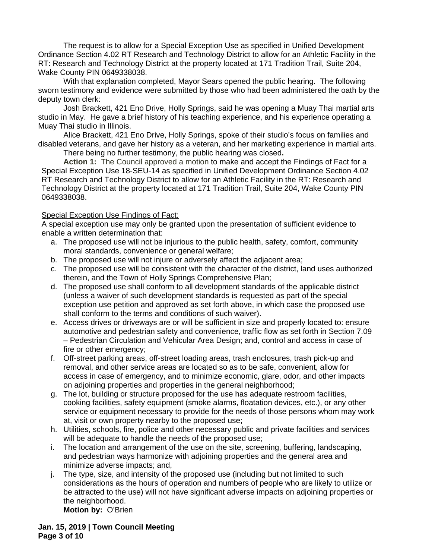The request is to allow for a Special Exception Use as specified in Unified Development Ordinance Section 4.02 RT Research and Technology District to allow for an Athletic Facility in the RT: Research and Technology District at the property located at 171 Tradition Trail, Suite 204, Wake County PIN 0649338038.

With that explanation completed, Mayor Sears opened the public hearing. The following sworn testimony and evidence were submitted by those who had been administered the oath by the deputy town clerk:

Josh Brackett, 421 Eno Drive, Holly Springs, said he was opening a Muay Thai martial arts studio in May. He gave a brief history of his teaching experience, and his experience operating a Muay Thai studio in Illinois.

Alice Brackett, 421 Eno Drive, Holly Springs, spoke of their studio's focus on families and disabled veterans, and gave her history as a veteran, and her marketing experience in martial arts.

There being no further testimony, the public hearing was closed**.**

**Action 1:** The Council approved a motion to make and accept the Findings of Fact for a Special Exception Use 18-SEU-14 as specified in Unified Development Ordinance Section 4.02 RT Research and Technology District to allow for an Athletic Facility in the RT: Research and Technology District at the property located at 171 Tradition Trail, Suite 204, Wake County PIN 0649338038.

#### Special Exception Use Findings of Fact:

A special exception use may only be granted upon the presentation of sufficient evidence to enable a written determination that:

- a. The proposed use will not be injurious to the public health, safety, comfort, community moral standards, convenience or general welfare;
- b. The proposed use will not injure or adversely affect the adjacent area;
- c. The proposed use will be consistent with the character of the district, land uses authorized therein, and the Town of Holly Springs Comprehensive Plan;
- d. The proposed use shall conform to all development standards of the applicable district (unless a waiver of such development standards is requested as part of the special exception use petition and approved as set forth above, in which case the proposed use shall conform to the terms and conditions of such waiver).
- e. Access drives or driveways are or will be sufficient in size and properly located to: ensure automotive and pedestrian safety and convenience, traffic flow as set forth in Section 7.09 – Pedestrian Circulation and Vehicular Area Design; and, control and access in case of fire or other emergency;
- f. Off-street parking areas, off-street loading areas, trash enclosures, trash pick-up and removal, and other service areas are located so as to be safe, convenient, allow for access in case of emergency, and to minimize economic, glare, odor, and other impacts on adjoining properties and properties in the general neighborhood;
- g. The lot, building or structure proposed for the use has adequate restroom facilities, cooking facilities, safety equipment (smoke alarms, floatation devices, etc.), or any other service or equipment necessary to provide for the needs of those persons whom may work at, visit or own property nearby to the proposed use;
- h. Utilities, schools, fire, police and other necessary public and private facilities and services will be adequate to handle the needs of the proposed use;
- i. The location and arrangement of the use on the site, screening, buffering, landscaping, and pedestrian ways harmonize with adjoining properties and the general area and minimize adverse impacts; and,
- j. The type, size, and intensity of the proposed use (including but not limited to such considerations as the hours of operation and numbers of people who are likely to utilize or be attracted to the use) will not have significant adverse impacts on adjoining properties or the neighborhood.

**Motion by:** O'Brien

**Jan. 15, 2019 | Town Council Meeting Page 3 of 10**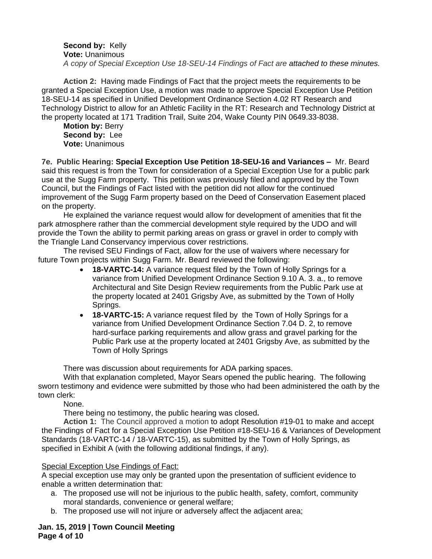#### **Second by:** Kelly **Vote:** Unanimous

*A copy of Special Exception Use 18-SEU-14 Findings of Fact are attached to these minutes.*

**Action 2:** Having made Findings of Fact that the project meets the requirements to be granted a Special Exception Use, a motion was made to approve Special Exception Use Petition 18-SEU-14 as specified in Unified Development Ordinance Section 4.02 RT Research and Technology District to allow for an Athletic Facility in the RT: Research and Technology District at the property located at 171 Tradition Trail, Suite 204, Wake County PIN 0649.33-8038.

**Motion by:** Berry **Second by:** Lee **Vote:** Unanimous

**7e. Public Hearing: Special Exception Use Petition 18-SEU-16 and Variances –** Mr. Beard said this request is from the Town for consideration of a Special Exception Use for a public park use at the Sugg Farm property. This petition was previously filed and approved by the Town Council, but the Findings of Fact listed with the petition did not allow for the continued improvement of the Sugg Farm property based on the Deed of Conservation Easement placed on the property.

He explained the variance request would allow for development of amenities that fit the park atmosphere rather than the commercial development style required by the UDO and will provide the Town the ability to permit parking areas on grass or gravel in order to comply with the Triangle Land Conservancy impervious cover restrictions.

The revised SEU Findings of Fact, allow for the use of waivers where necessary for future Town projects within Sugg Farm. Mr. Beard reviewed the following:

- **18-VARTC-14:** A variance request filed by the Town of Holly Springs for a variance from Unified Development Ordinance Section 9.10 A. 3. a., to remove Architectural and Site Design Review requirements from the Public Park use at the property located at 2401 Grigsby Ave, as submitted by the Town of Holly Springs.
- **18-VARTC-15:** A variance request filed by the Town of Holly Springs for a variance from Unified Development Ordinance Section 7.04 D. 2, to remove hard-surface parking requirements and allow grass and gravel parking for the Public Park use at the property located at 2401 Grigsby Ave, as submitted by the Town of Holly Springs

There was discussion about requirements for ADA parking spaces.

With that explanation completed, Mayor Sears opened the public hearing. The following sworn testimony and evidence were submitted by those who had been administered the oath by the town clerk:

None.

There being no testimony, the public hearing was closed**.**

**Action 1:** The Council approved a motion to adopt Resolution #19-01 to make and accept the Findings of Fact for a Special Exception Use Petition #18-SEU-16 & Variances of Development Standards (18-VARTC-14 / 18-VARTC-15), as submitted by the Town of Holly Springs, as specified in Exhibit A (with the following additional findings, if any).

## Special Exception Use Findings of Fact:

A special exception use may only be granted upon the presentation of sufficient evidence to enable a written determination that:

- a. The proposed use will not be injurious to the public health, safety, comfort, community moral standards, convenience or general welfare;
- b. The proposed use will not injure or adversely affect the adjacent area;

## **Jan. 15, 2019 | Town Council Meeting Page 4 of 10**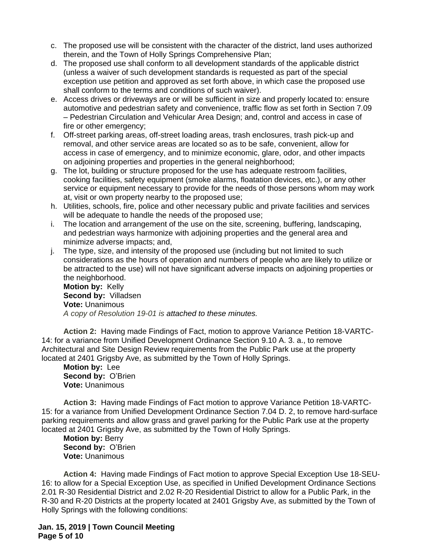- c. The proposed use will be consistent with the character of the district, land uses authorized therein, and the Town of Holly Springs Comprehensive Plan;
- d. The proposed use shall conform to all development standards of the applicable district (unless a waiver of such development standards is requested as part of the special exception use petition and approved as set forth above, in which case the proposed use shall conform to the terms and conditions of such waiver).
- e. Access drives or driveways are or will be sufficient in size and properly located to: ensure automotive and pedestrian safety and convenience, traffic flow as set forth in Section 7.09 – Pedestrian Circulation and Vehicular Area Design; and, control and access in case of fire or other emergency;
- f. Off-street parking areas, off-street loading areas, trash enclosures, trash pick-up and removal, and other service areas are located so as to be safe, convenient, allow for access in case of emergency, and to minimize economic, glare, odor, and other impacts on adjoining properties and properties in the general neighborhood;
- g. The lot, building or structure proposed for the use has adequate restroom facilities, cooking facilities, safety equipment (smoke alarms, floatation devices, etc.), or any other service or equipment necessary to provide for the needs of those persons whom may work at, visit or own property nearby to the proposed use;
- h. Utilities, schools, fire, police and other necessary public and private facilities and services will be adequate to handle the needs of the proposed use;
- i. The location and arrangement of the use on the site, screening, buffering, landscaping, and pedestrian ways harmonize with adjoining properties and the general area and minimize adverse impacts; and,
- j. The type, size, and intensity of the proposed use (including but not limited to such considerations as the hours of operation and numbers of people who are likely to utilize or be attracted to the use) will not have significant adverse impacts on adjoining properties or the neighborhood. **Motion by:** Kelly

**Second by:** Villadsen **Vote:** Unanimous *A copy of Resolution 19-01 is attached to these minutes.*

**Action 2:** Having made Findings of Fact, motion to approve Variance Petition 18-VARTC-14: for a variance from Unified Development Ordinance Section 9.10 A. 3. a., to remove Architectural and Site Design Review requirements from the Public Park use at the property located at 2401 Grigsby Ave, as submitted by the Town of Holly Springs.

**Motion by:** Lee **Second by:** O'Brien **Vote:** Unanimous

**Action 3:** Having made Findings of Fact motion to approve Variance Petition 18-VARTC-15: for a variance from Unified Development Ordinance Section 7.04 D. 2, to remove hard-surface parking requirements and allow grass and gravel parking for the Public Park use at the property located at 2401 Grigsby Ave, as submitted by the Town of Holly Springs.

**Motion by:** Berry Second by: O'Brien **Vote:** Unanimous

**Action 4:** Having made Findings of Fact motion to approve Special Exception Use 18-SEU-16: to allow for a Special Exception Use, as specified in Unified Development Ordinance Sections 2.01 R-30 Residential District and 2.02 R-20 Residential District to allow for a Public Park, in the R-30 and R-20 Districts at the property located at 2401 Grigsby Ave, as submitted by the Town of Holly Springs with the following conditions:

**Jan. 15, 2019 | Town Council Meeting Page 5 of 10**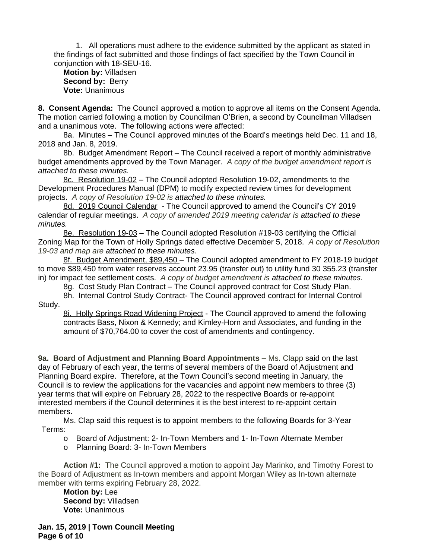1. All operations must adhere to the evidence submitted by the applicant as stated in the findings of fact submitted and those findings of fact specified by the Town Council in conjunction with 18-SEU-16.

**Motion by:** Villadsen Second by: Berry **Vote:** Unanimous

**8. Consent Agenda:** The Council approved a motion to approve all items on the Consent Agenda. The motion carried following a motion by Councilman O'Brien, a second by Councilman Villadsen and a unanimous vote. The following actions were affected:

8a. Minutes – The Council approved minutes of the Board's meetings held Dec. 11 and 18, 2018 and Jan. 8, 2019.

8b. Budget Amendment Report – The Council received a report of monthly administrative budget amendments approved by the Town Manager. *A copy of the budget amendment report is attached to these minutes.*

8c. Resolution 19-02 – The Council adopted Resolution 19-02, amendments to the Development Procedures Manual (DPM) to modify expected review times for development projects. *A copy of Resolution 19-02 is attached to these minutes.*

8d. 2019 Council Calendar - The Council approved to amend the Council's CY 2019 calendar of regular meetings. *A copy of amended 2019 meeting calendar is attached to these minutes.*

8e. Resolution 19-03 – The Council adopted Resolution #19-03 certifying the Official Zoning Map for the Town of Holly Springs dated effective December 5, 2018. *A copy of Resolution 19-03 and map are attached to these minutes.*

8f. Budget Amendment, \$89,450 - The Council adopted amendment to FY 2018-19 budget to move \$89,450 from water reserves account 23.95 (transfer out) to utility fund 30 355.23 (transfer in) for impact fee settlement costs. *A copy of budget amendment is attached to these minutes.*

8g. Cost Study Plan Contract - The Council approved contract for Cost Study Plan.

8h. Internal Control Study Contract- The Council approved contract for Internal Control Study.

8i. Holly Springs Road Widening Project - The Council approved to amend the following contracts Bass, Nixon & Kennedy; and Kimley-Horn and Associates, and funding in the amount of \$70,764.00 to cover the cost of amendments and contingency.

**9a. Board of Adjustment and Planning Board Appointments –** Ms. Clapp said on the last day of February of each year, the terms of several members of the Board of Adjustment and Planning Board expire. Therefore, at the Town Council's second meeting in January, the Council is to review the applications for the vacancies and appoint new members to three (3) year terms that will expire on February 28, 2022 to the respective Boards or re-appoint interested members if the Council determines it is the best interest to re-appoint certain members.

Ms. Clap said this request is to appoint members to the following Boards for 3-Year Terms:

o Board of Adjustment: 2- In-Town Members and 1- In-Town Alternate Member

o Planning Board: 3- In-Town Members

**Action #1:** The Council approved a motion to appoint Jay Marinko, and Timothy Forest to the Board of Adjustment as In-town members and appoint Morgan Wiley as In-town alternate member with terms expiring February 28, 2022.

**Motion by:** Lee **Second by:** Villadsen **Vote:** Unanimous

**Jan. 15, 2019 | Town Council Meeting Page 6 of 10**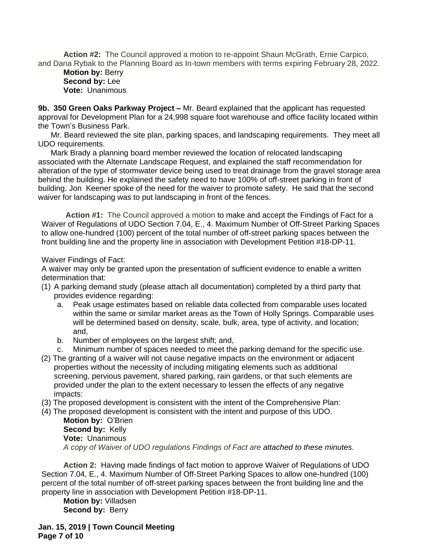**Action #2:** The Council approved a motion to re-appoint Shaun McGrath, Ernie Carpico, and Dana Rybak to the Planning Board as In-town members with terms expiring February 28, 2022.

# **Motion by:** Berry **Second by:** Lee **Vote:** Unanimous

**9b. 350 Green Oaks Parkway Project –** Mr. Beard explained that the applicant has requested approval for Development Plan for a 24,998 square foot warehouse and office facility located within the Town's Business Park.

Mr. Beard reviewed the site plan, parking spaces, and landscaping requirements. They meet all UDO requirements.

Mark Brady a planning board member reviewed the location of relocated landscaping associated with the Alternate Landscape Request, and explained the staff recommendation for alteration of the type of stormwater device being used to treat drainage from the gravel storage area behind the building. He explained the safety need to have 100% of off-street parking in front of building. Jon Keener spoke of the need for the waiver to promote safety. He said that the second waiver for landscaping was to put landscaping in front of the fences.

**Action #1:** The Council approved a motion to make and accept the Findings of Fact for a Waiver of Regulations of UDO Section 7.04, E., 4. Maximum Number of Off-Street Parking Spaces to allow one-hundred (100) percent of the total number of off-street parking spaces between the front building line and the property line in association with Development Petition #18-DP-11.

Waiver Findings of Fact:

A waiver may only be granted upon the presentation of sufficient evidence to enable a written determination that:

- (1) A parking demand study (please attach all documentation) completed by a third party that provides evidence regarding:
	- a. Peak usage estimates based on reliable data collected from comparable uses located within the same or similar market areas as the Town of Holly Springs. Comparable uses will be determined based on density, scale, bulk, area, type of activity, and location; and,
	- b. Number of employees on the largest shift; and,
	- c. Minimum number of spaces needed to meet the parking demand for the specific use.
- (2) The granting of a waiver will not cause negative impacts on the environment or adjacent properties without the necessity of including mitigating elements such as additional screening, pervious pavement, shared parking, rain gardens, or that such elements are provided under the plan to the extent necessary to lessen the effects of any negative impacts:
- (3) The proposed development is consistent with the intent of the Comprehensive Plan:
- (4) The proposed development is consistent with the intent and purpose of this UDO. **Motion by:** O'Brien **Second by:** Kelly **Vote:** Unanimous *A copy of Waiver of UDO regulations Findings of Fact are attached to these minutes.*

**Action 2:** Having made findings of fact motion to approve Waiver of Regulations of UDO Section 7.04, E., 4. Maximum Number of Off-Street Parking Spaces to allow one-hundred (100) percent of the total number of off-street parking spaces between the front building line and the property line in association with Development Petition #18-DP-11.

**Motion by:** Villadsen **Second by: Berry** 

**Jan. 15, 2019 | Town Council Meeting Page 7 of 10**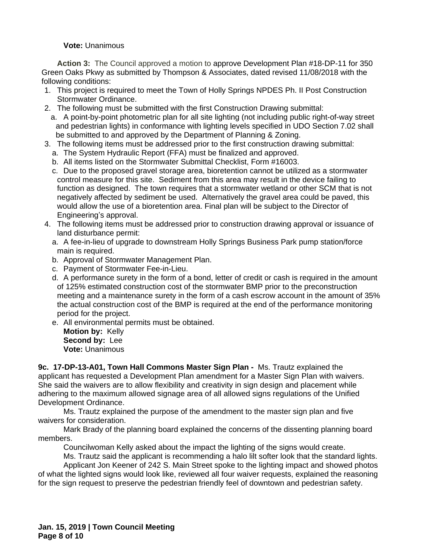#### **Vote:** Unanimous

**Action 3:** The Council approved a motion to approve Development Plan #18-DP-11 for 350 Green Oaks Pkwy as submitted by Thompson & Associates, dated revised 11/08/2018 with the following conditions:

- 1. This project is required to meet the Town of Holly Springs NPDES Ph. II Post Construction Stormwater Ordinance.
- 2. The following must be submitted with the first Construction Drawing submittal:
	- a. A point-by-point photometric plan for all site lighting (not including public right-of-way street and pedestrian lights) in conformance with lighting levels specified in UDO Section 7.02 shall be submitted to and approved by the Department of Planning & Zoning.
- 3. The following items must be addressed prior to the first construction drawing submittal:
	- a. The System Hydraulic Report (FFA) must be finalized and approved.
	- b. All items listed on the Stormwater Submittal Checklist, Form #16003.
	- c. Due to the proposed gravel storage area, bioretention cannot be utilized as a stormwater control measure for this site. Sediment from this area may result in the device failing to function as designed. The town requires that a stormwater wetland or other SCM that is not negatively affected by sediment be used. Alternatively the gravel area could be paved, this would allow the use of a bioretention area. Final plan will be subject to the Director of Engineering's approval.
- 4. The following items must be addressed prior to construction drawing approval or issuance of land disturbance permit:
	- a. A fee-in-lieu of upgrade to downstream Holly Springs Business Park pump station/force main is required.
	- b. Approval of Stormwater Management Plan.
	- c. Payment of Stormwater Fee-in-Lieu.
	- d. A performance surety in the form of a bond, letter of credit or cash is required in the amount of 125% estimated construction cost of the stormwater BMP prior to the preconstruction meeting and a maintenance surety in the form of a cash escrow account in the amount of 35% the actual construction cost of the BMP is required at the end of the performance monitoring period for the project.
	- e. All environmental permits must be obtained.

**Motion by:** Kelly **Second by:** Lee **Vote:** Unanimous

**9c. 17-DP-13-A01, Town Hall Commons Master Sign Plan -** Ms. Trautz explained the applicant has requested a Development Plan amendment for a Master Sign Plan with waivers. She said the waivers are to allow flexibility and creativity in sign design and placement while adhering to the maximum allowed signage area of all allowed signs regulations of the Unified Development Ordinance.

Ms. Trautz explained the purpose of the amendment to the master sign plan and five waivers for consideration.

Mark Brady of the planning board explained the concerns of the dissenting planning board members.

Councilwoman Kelly asked about the impact the lighting of the signs would create.

Ms. Trautz said the applicant is recommending a halo lilt softer look that the standard lights. Applicant Jon Keener of 242 S. Main Street spoke to the lighting impact and showed photos

of what the lighted signs would look like, reviewed all four waiver requests, explained the reasoning for the sign request to preserve the pedestrian friendly feel of downtown and pedestrian safety.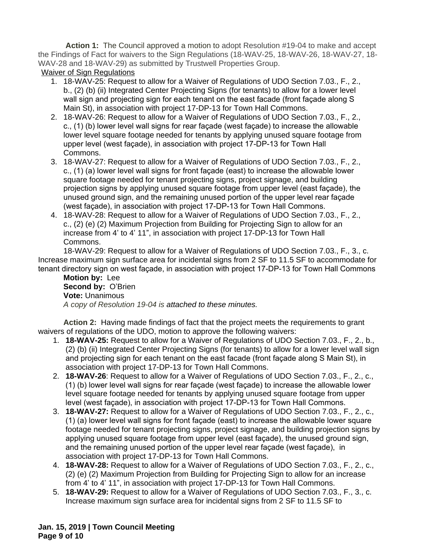**Action 1:** The Council approved a motion to adopt Resolution #19-04 to make and accept the Findings of Fact for waivers to the Sign Regulations (18-WAV-25, 18-WAV-26, 18-WAV-27, 18- WAV-28 and 18-WAV-29) as submitted by Trustwell Properties Group.

Waiver of Sign Regulations

- 1. 18-WAV-25: Request to allow for a Waiver of Regulations of UDO Section 7.03., F., 2., b., (2) (b) (ii) Integrated Center Projecting Signs (for tenants) to allow for a lower level wall sign and projecting sign for each tenant on the east facade (front façade along S Main St), in association with project 17-DP-13 for Town Hall Commons.
- 2. 18-WAV-26: Request to allow for a Waiver of Regulations of UDO Section 7.03., F., 2., c., (1) (b) lower level wall signs for rear façade (west façade) to increase the allowable lower level square footage needed for tenants by applying unused square footage from upper level (west façade), in association with project 17-DP-13 for Town Hall Commons.
- 3. 18-WAV-27: Request to allow for a Waiver of Regulations of UDO Section 7.03., F., 2., c., (1) (a) lower level wall signs for front façade (east) to increase the allowable lower square footage needed for tenant projecting signs, project signage, and building projection signs by applying unused square footage from upper level (east façade), the unused ground sign, and the remaining unused portion of the upper level rear façade (west façade), in association with project 17-DP-13 for Town Hall Commons.
- 4. 18-WAV-28: Request to allow for a Waiver of Regulations of UDO Section 7.03., F., 2., c., (2) (e) (2) Maximum Projection from Building for Projecting Sign to allow for an increase from 4' to 4' 11", in association with project 17-DP-13 for Town Hall Commons.

18-WAV-29: Request to allow for a Waiver of Regulations of UDO Section 7.03., F., 3., c. Increase maximum sign surface area for incidental signs from 2 SF to 11.5 SF to accommodate for tenant directory sign on west façade, in association with project 17-DP-13 for Town Hall Commons

**Motion by:** Lee **Second by:** O'Brien **Vote:** Unanimous *A copy of Resolution 19-04 is attached to these minutes.*

**Action 2:** Having made findings of fact that the project meets the requirements to grant waivers of regulations of the UDO, motion to approve the following waivers:

- 1. **18-WAV-25:** Request to allow for a Waiver of Regulations of UDO Section 7.03., F., 2., b., (2) (b) (ii) Integrated Center Projecting Signs (for tenants) to allow for a lower level wall sign and projecting sign for each tenant on the east facade (front façade along S Main St), in association with project 17-DP-13 for Town Hall Commons.
- 2. **18-WAV-26**: Request to allow for a Waiver of Regulations of UDO Section 7.03., F., 2., c., (1) (b) lower level wall signs for rear façade (west façade) to increase the allowable lower level square footage needed for tenants by applying unused square footage from upper level (west façade), in association with project 17-DP-13 for Town Hall Commons.
- 3. **18-WAV-27:** Request to allow for a Waiver of Regulations of UDO Section 7.03., F., 2., c., (1) (a) lower level wall signs for front façade (east) to increase the allowable lower square footage needed for tenant projecting signs, project signage, and building projection signs by applying unused square footage from upper level (east façade), the unused ground sign, and the remaining unused portion of the upper level rear façade (west façade), in association with project 17-DP-13 for Town Hall Commons.
- 4. **18-WAV-28:** Request to allow for a Waiver of Regulations of UDO Section 7.03., F., 2., c., (2) (e) (2) Maximum Projection from Building for Projecting Sign to allow for an increase from 4' to 4' 11", in association with project 17-DP-13 for Town Hall Commons.
- 5. **18-WAV-29:** Request to allow for a Waiver of Regulations of UDO Section 7.03., F., 3., c. Increase maximum sign surface area for incidental signs from 2 SF to 11.5 SF to

**Jan. 15, 2019 | Town Council Meeting Page 9 of 10**